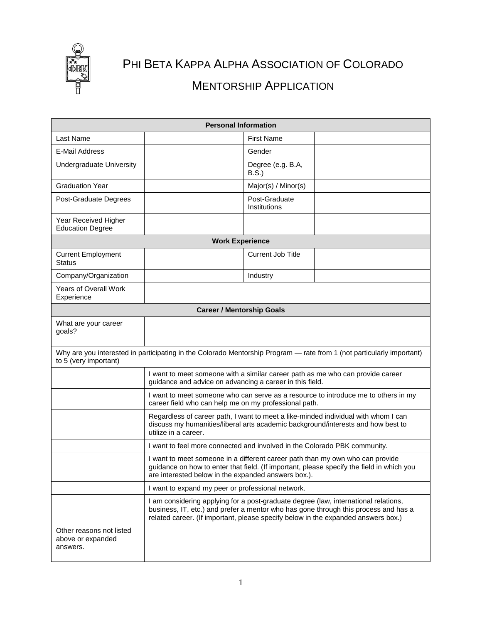

## PHI BETA KAPPA ALPHA ASSOCIATION OF COLORADO MENTORSHIP APPLICATION

| <b>Personal Information</b>                                                                                                                    |                                                                                                                                                                                                |                               |                                                                                           |  |
|------------------------------------------------------------------------------------------------------------------------------------------------|------------------------------------------------------------------------------------------------------------------------------------------------------------------------------------------------|-------------------------------|-------------------------------------------------------------------------------------------|--|
| Last Name                                                                                                                                      |                                                                                                                                                                                                | <b>First Name</b>             |                                                                                           |  |
| E-Mail Address                                                                                                                                 |                                                                                                                                                                                                | Gender                        |                                                                                           |  |
| Undergraduate University                                                                                                                       |                                                                                                                                                                                                | Degree (e.g. B.A,<br>B.S.     |                                                                                           |  |
| <b>Graduation Year</b>                                                                                                                         |                                                                                                                                                                                                | Major(s) / Minor(s)           |                                                                                           |  |
| Post-Graduate Degrees                                                                                                                          |                                                                                                                                                                                                | Post-Graduate<br>Institutions |                                                                                           |  |
| Year Received Higher<br><b>Education Degree</b>                                                                                                |                                                                                                                                                                                                |                               |                                                                                           |  |
| <b>Work Experience</b>                                                                                                                         |                                                                                                                                                                                                |                               |                                                                                           |  |
| <b>Current Employment</b><br><b>Status</b>                                                                                                     |                                                                                                                                                                                                | <b>Current Job Title</b>      |                                                                                           |  |
| Company/Organization                                                                                                                           |                                                                                                                                                                                                | Industry                      |                                                                                           |  |
| Years of Overall Work<br>Experience                                                                                                            |                                                                                                                                                                                                |                               |                                                                                           |  |
| <b>Career / Mentorship Goals</b>                                                                                                               |                                                                                                                                                                                                |                               |                                                                                           |  |
| What are your career<br>goals?                                                                                                                 |                                                                                                                                                                                                |                               |                                                                                           |  |
| Why are you interested in participating in the Colorado Mentorship Program - rate from 1 (not particularly important)<br>to 5 (very important) |                                                                                                                                                                                                |                               |                                                                                           |  |
|                                                                                                                                                | I want to meet someone with a similar career path as me who can provide career<br>guidance and advice on advancing a career in this field.                                                     |                               |                                                                                           |  |
|                                                                                                                                                | I want to meet someone who can serve as a resource to introduce me to others in my<br>career field who can help me on my professional path.                                                    |                               |                                                                                           |  |
|                                                                                                                                                | Regardless of career path, I want to meet a like-minded individual with whom I can<br>discuss my humanities/liberal arts academic background/interests and how best to<br>utilize in a career. |                               |                                                                                           |  |
|                                                                                                                                                | I want to feel more connected and involved in the Colorado PBK community.                                                                                                                      |                               |                                                                                           |  |
|                                                                                                                                                | I want to meet someone in a different career path than my own who can provide<br>are interested below in the expanded answers box.).                                                           |                               | guidance on how to enter that field. (If important, please specify the field in which you |  |
|                                                                                                                                                | I want to expand my peer or professional network.                                                                                                                                              |                               |                                                                                           |  |
|                                                                                                                                                | I am considering applying for a post-graduate degree (law, international relations,<br>related career. (If important, please specify below in the expanded answers box.)                       |                               | business, IT, etc.) and prefer a mentor who has gone through this process and has a       |  |
| Other reasons not listed<br>above or expanded<br>answers.                                                                                      |                                                                                                                                                                                                |                               |                                                                                           |  |